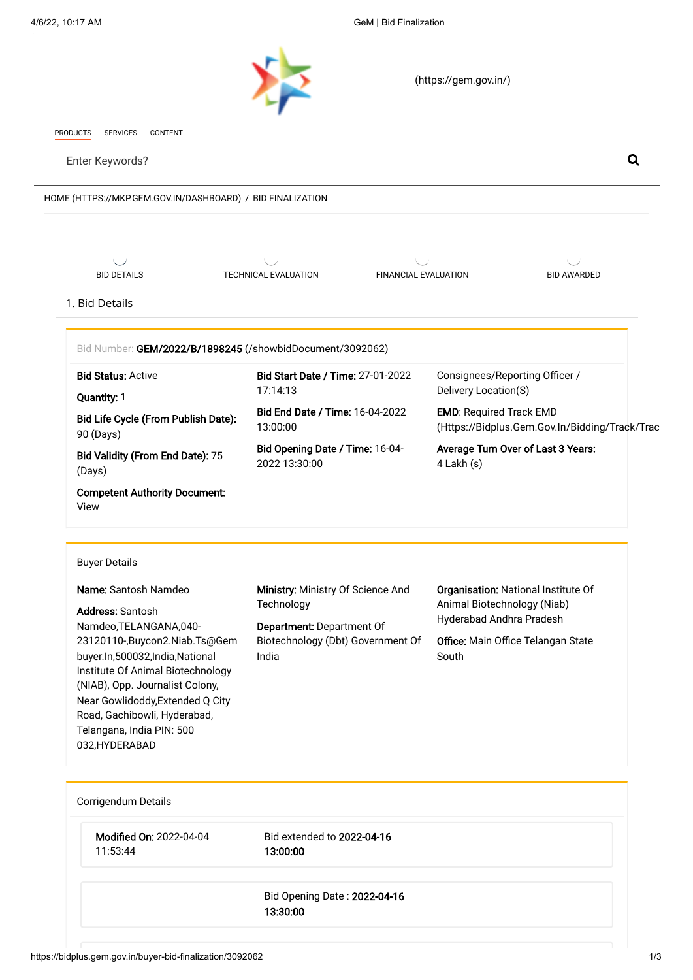<span id="page-0-0"></span>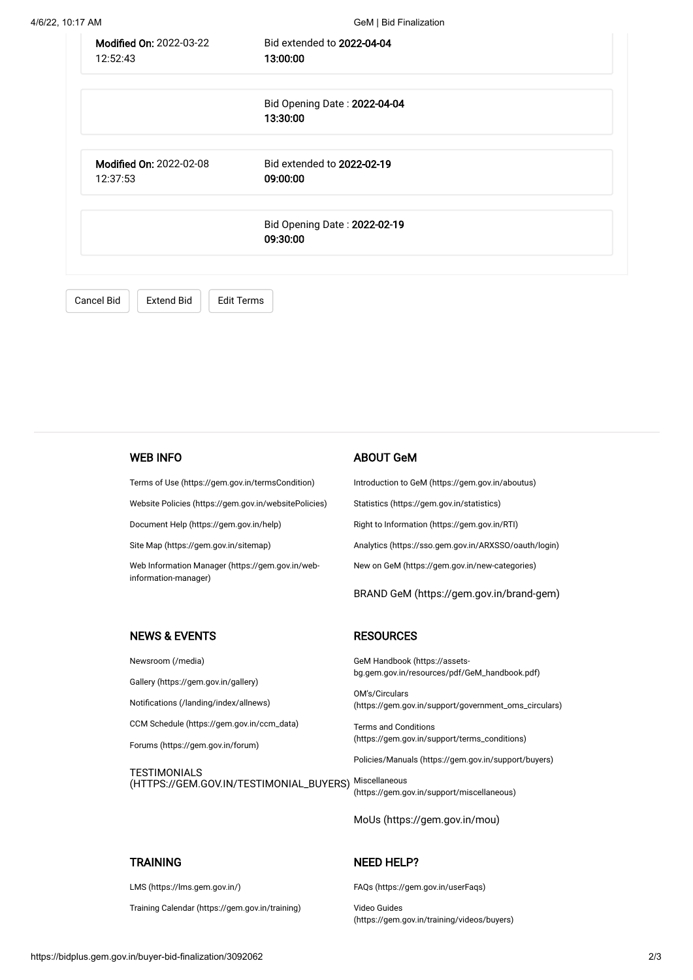| Modified On: 2022-03-22<br>12:52:43        | Bid extended to 2022-04-04<br>13:00:00   |  |
|--------------------------------------------|------------------------------------------|--|
|                                            | Bid Opening Date: 2022-04-04<br>13:30:00 |  |
| <b>Modified On: 2022-02-08</b><br>12:37:53 | Bid extended to 2022-02-19<br>09:00:00   |  |
|                                            | Bid Opening Date: 2022-02-19<br>09:30:00 |  |
| Cancel Bid<br><b>Extend Bid</b>            | <b>Edit Terms</b>                        |  |

WEB INFO

[Terms of Use \(https://gem.gov.in/termsCondition\)](https://gem.gov.in/termsCondition)

[Website Policies \(https://gem.gov.in/websitePolicies\)](https://gem.gov.in/websitePolicies)

[Document Help \(https://gem.gov.in/help\)](https://gem.gov.in/help)

[Site Map \(https://gem.gov.in/sitemap\)](https://gem.gov.in/sitemap)

[Web Information Manager \(https://gem.gov.in/web](https://gem.gov.in/web-information-manager)information-manager)

## ABOUT GeM

**RESOURCES** 

[Introduction to GeM \(https://gem.gov.in/aboutus\)](https://gem.gov.in/aboutus) [Statistics \(https://gem.gov.in/statistics\)](https://gem.gov.in/statistics) [Right to Information \(https://gem.gov.in/RTI\)](https://gem.gov.in/RTI) [Analytics \(https://sso.gem.gov.in/ARXSSO/oauth/login\)](https://sso.gem.gov.in/ARXSSO/oauth/login) [New on GeM \(https://gem.gov.in/new-categories\)](https://gem.gov.in/new-categories)

[BRAND GeM \(https://gem.gov.in/brand-gem\)](https://gem.gov.in/brand-gem)

## NEWS & EVENTS

[Newsroom \(/media\)](https://bidplus.gem.gov.in/media)

[Gallery \(https://gem.gov.in/gallery\)](https://gem.gov.in/gallery)

[Notifications \(/landing/index/allnews\)](https://bidplus.gem.gov.in/landing/index/allnews)

[CCM Schedule \(https://gem.gov.in/ccm\\_data\)](https://gem.gov.in/ccm_data)

[Forums \(https://gem.gov.in/forum\)](https://gem.gov.in/forum)

**TESTIMONIALS** [\(HTTPS://GEM.GOV.IN/TESTIMONIAL\\_BUYERS\)](https://gem.gov.in/testimonial_buyers) Miscellaneous

GeM Handbook (https://assets[bg.gem.gov.in/resources/pdf/GeM\\_handbook.pdf\)](https://assets-bg.gem.gov.in/resources/pdf/GeM_handbook.pdf)

OM's/Circulars [\(https://gem.gov.in/support/government\\_oms\\_circulars\)](https://gem.gov.in/support/government_oms_circulars)

Terms and Conditions [\(https://gem.gov.in/support/terms\\_conditions\)](https://gem.gov.in/support/terms_conditions)

[Policies/Manuals \(https://gem.gov.in/support/buyers\)](https://gem.gov.in/support/buyers)

[\(https://gem.gov.in/support/miscellaneous\)](https://gem.gov.in/support/miscellaneous)

[MoUs \(https://gem.gov.in/mou\)](https://gem.gov.in/mou)

#### **TRAINING**

[LMS \(https://lms.gem.gov.in/\)](https://lms.gem.gov.in/)

[Training Calendar \(https://gem.gov.in/training\)](https://gem.gov.in/training)

## NEED HELP?

[FAQs \(https://gem.gov.in/userFaqs\)](https://gem.gov.in/userFaqs)

Video Guides [\(https://gem.gov.in/training/videos/buyers\)](https://gem.gov.in/training/videos/buyers)